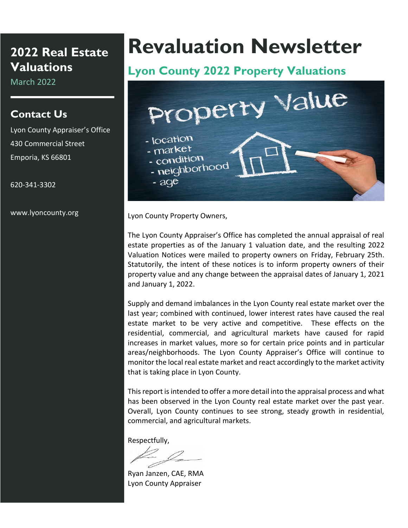# **2022 Real Estate Valuations**

March 2022

#### **Contact Us**

Lyon County Appraiser's Office 430 Commercial Street Emporia, KS 66801

620-341-3302

www.lyoncounty.org

# **Revaluation Newsletter**

# **Lyon County 2022 Property Valuations**



Lyon County Property Owners,

The Lyon County Appraiser's Office has completed the annual appraisal of real estate properties as of the January 1 valuation date, and the resulting 2022 Valuation Notices were mailed to property owners on Friday, February 25th. Statutorily, the intent of these notices is to inform property owners of their property value and any change between the appraisal dates of January 1, 2021 and January 1, 2022.

Supply and demand imbalances in the Lyon County real estate market over the last year; combined with continued, lower interest rates have caused the real estate market to be very active and competitive. These effects on the residential, commercial, and agricultural markets have caused for rapid increases in market values, more so for certain price points and in particular areas/neighborhoods. The Lyon County Appraiser's Office will continue to monitor the local real estate market and react accordingly to the market activity that is taking place in Lyon County.

This report is intended to offer a more detail into the appraisal process and what has been observed in the Lyon County real estate market over the past year. Overall, Lyon County continues to see strong, steady growth in residential, commercial, and agricultural markets.

Respectfully,

Ryan Janzen, CAE, RMA Lyon County Appraiser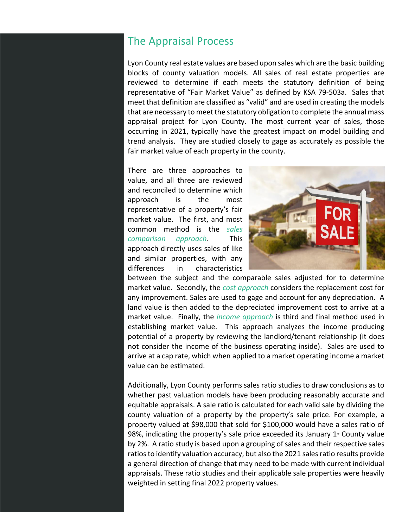#### The Appraisal Process

Lyon County real estate values are based upon sales which are the basic building blocks of county valuation models. All sales of real estate properties are reviewed to determine if each meets the statutory definition of being representative of "Fair Market Value" as defined by KSA 79-503a. Sales that meet that definition are classified as "valid" and are used in creating the models that are necessary to meet the statutory obligation to complete the annual mass appraisal project for Lyon County. The most current year of sales, those occurring in 2021, typically have the greatest impact on model building and trend analysis. They are studied closely to gage as accurately as possible the fair market value of each property in the county.

There are three approaches to value, and all three are reviewed and reconciled to determine which approach is the most representative of a property's fair market value. The first, and most common method is the *sales comparison approach*. This approach directly uses sales of like and similar properties, with any differences in characteristics



between the subject and the comparable sales adjusted for to determine market value. Secondly, the *cost approach* considers the replacement cost for any improvement. Sales are used to gage and account for any depreciation. A land value is then added to the depreciated improvement cost to arrive at a market value. Finally, the *income approach* is third and final method used in establishing market value. This approach analyzes the income producing potential of a property by reviewing the landlord/tenant relationship (it does not consider the income of the business operating inside). Sales are used to arrive at a cap rate, which when applied to a market operating income a market value can be estimated.

Additionally, Lyon County performs sales ratio studies to draw conclusions as to whether past valuation models have been producing reasonably accurate and equitable appraisals. A sale ratio is calculated for each valid sale by dividing the county valuation of a property by the property's sale price. For example, a property valued at \$98,000 that sold for \$100,000 would have a sales ratio of 98%, indicating the property's sale price exceeded its January  $1<sup>*</sup>$  County value by 2%. A ratio study is based upon a grouping of sales and their respective sales ratios to identify valuation accuracy, but also the 2021 sales ratio results provide a general direction of change that may need to be made with current individual appraisals. These ratio studies and their applicable sale properties were heavily weighted in setting final 2022 property values.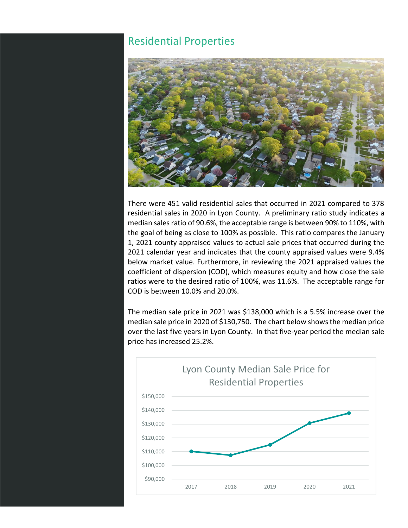#### Residential Properties



There were 451 valid residential sales that occurred in 2021 compared to 378 residential sales in 2020 in Lyon County. A preliminary ratio study indicates a median sales ratio of 90.6%, the acceptable range is between 90% to 110%, with the goal of being as close to 100% as possible. This ratio compares the January 1, 2021 county appraised values to actual sale prices that occurred during the 2021 calendar year and indicates that the county appraised values were 9.4% below market value. Furthermore, in reviewing the 2021 appraised values the coefficient of dispersion (COD), which measures equity and how close the sale ratios were to the desired ratio of 100%, was 11.6%. The acceptable range for COD is between 10.0% and 20.0%.

The median sale price in 2021 was \$138,000 which is a 5.5% increase over the median sale price in 2020 of \$130,750. The chart below shows the median price over the last five years in Lyon County. In that five-year period the median sale price has increased 25.2%.

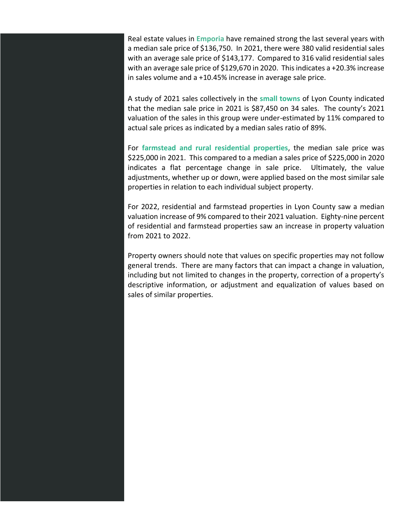Real estate values in **Emporia** have remained strong the last several years with a median sale price of \$136,750. In 2021, there were 380 valid residential sales with an average sale price of \$143,177. Compared to 316 valid residential sales with an average sale price of \$129,670 in 2020. This indicates a +20.3% increase in sales volume and a +10.45% increase in average sale price.

A study of 2021 sales collectively in the **small towns** of Lyon County indicated that the median sale price in 2021 is \$87,450 on 34 sales. The county's 2021 valuation of the sales in this group were under-estimated by 11% compared to actual sale prices as indicated by a median sales ratio of 89%.

For **farmstead and rural residential properties**, the median sale price was \$225,000 in 2021. This compared to a median a sales price of \$225,000 in 2020 indicates a flat percentage change in sale price. Ultimately, the value adjustments, whether up or down, were applied based on the most similar sale properties in relation to each individual subject property.

For 2022, residential and farmstead properties in Lyon County saw a median valuation increase of 9% compared to their 2021 valuation. Eighty-nine percent of residential and farmstead properties saw an increase in property valuation from 2021 to 2022.

Property owners should note that values on specific properties may not follow general trends. There are many factors that can impact a change in valuation, including but not limited to changes in the property, correction of a property's descriptive information, or adjustment and equalization of values based on sales of similar properties.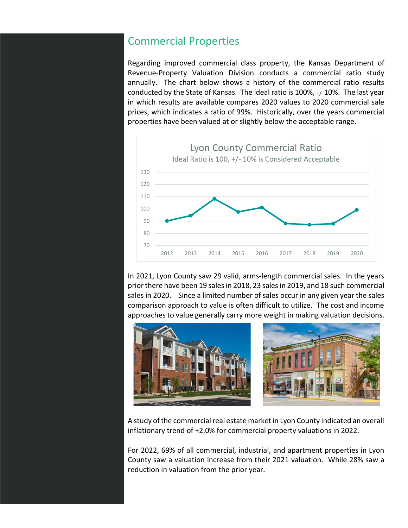#### Commercial Properties

Regarding improved commercial class property, the Kansas Department of Revenue-Property Valuation Division conducts a commercial ratio study annually. The chart below shows a history of the commercial ratio results conducted by the State of Kansas. The ideal ratio is  $100\%$ ,  $+/-10\%$ . The last year in which results are available compares 2020 values to 2020 commercial sale prices, which indicates a ratio of 99%. Historically, over the years commercial properties have been valued at or slightly below the acceptable range.



In 2021, Lyon County saw 29 valid, arms-length commercial sales. In the years prior there have been 19 sales in 2018, 23 sales in 2019, and 18 such commercial sales in 2020. Since a limited number of sales occur in any given year the sales comparison approach to value is often difficult to utilize. The cost and income approaches to value generally carry more weight in making valuation decisions.



A study of the commercial real estate market in Lyon County indicated an overall inflationary trend of +2.0% for commercial property valuations in 2022.

For 2022, 69% of all commercial, industrial, and apartment properties in Lyon County saw a valuation increase from their 2021 valuation. While 28% saw a reduction in valuation from the prior year.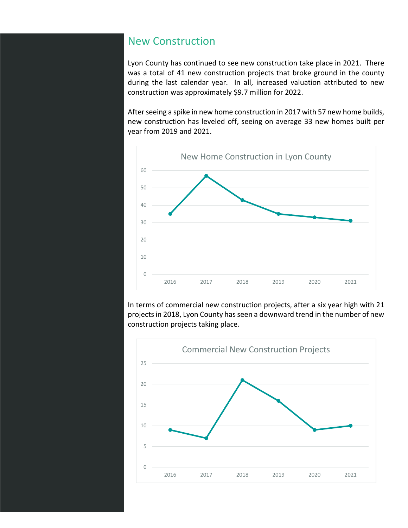#### New Construction

Lyon County has continued to see new construction take place in 2021. There was a total of 41 new construction projects that broke ground in the county during the last calendar year. In all, increased valuation attributed to new construction was approximately \$9.7 million for 2022.

After seeing a spike in new home construction in 2017 with 57 new home builds, new construction has leveled off, seeing on average 33 new homes built per year from 2019 and 2021.



In terms of commercial new construction projects, after a six year high with 21 projects in 2018, Lyon County has seen a downward trend in the number of new construction projects taking place.

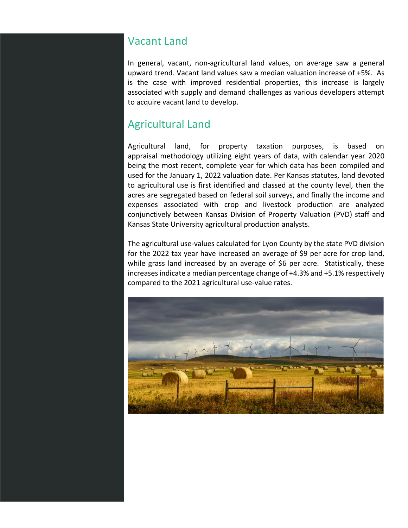## Vacant Land

In general, vacant, non-agricultural land values, on average saw a general upward trend. Vacant land values saw a median valuation increase of +5%. As is the case with improved residential properties, this increase is largely associated with supply and demand challenges as various developers attempt to acquire vacant land to develop.

## Agricultural Land

Agricultural land, for property taxation purposes, is based on appraisal methodology utilizing eight years of data, with calendar year 2020 being the most recent, complete year for which data has been compiled and used for the January 1, 2022 valuation date. Per Kansas statutes, land devoted to agricultural use is first identified and classed at the county level, then the acres are segregated based on federal soil surveys, and finally the income and expenses associated with crop and livestock production are analyzed conjunctively between Kansas Division of Property Valuation (PVD) staff and Kansas State University agricultural production analysts.

The agricultural use-values calculated for Lyon County by the state PVD division for the 2022 tax year have increased an average of \$9 per acre for crop land, while grass land increased by an average of \$6 per acre. Statistically, these increases indicate a median percentage change of +4.3% and +5.1% respectively compared to the 2021 agricultural use-value rates.